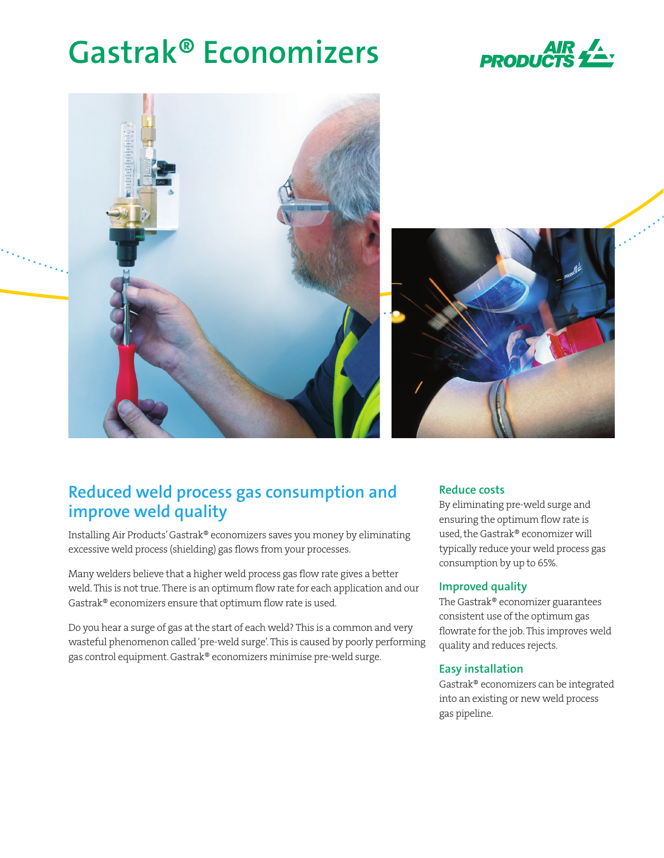# **Gastrak® Economizers**





# **Reduced weld process gas consumption and improve weld quality**

Installing Air Products' Gastrak® economizers saves you money by eliminating excessive weld process (shielding) gas flows from your processes.

Many welders believe that a higher weld process gas flow rate gives a better weld. This is not true. There is an optimum flow rate for each application and our Gastrak® economizers ensure that optimum flow rate is used.

Do you hear a surge of gas at the start of each weld? This is a common and very wasteful phenomenon called 'pre-weld surge'. This is caused by poorly performing gas control equipment. Gastrak® economizers minimise pre-weld surge.

# **Reduce costs**

By eliminating pre-weld surge and ensuring the optimum flow rate is used, the Gastrak® economizer will typically reduce your weld process gas consumption by up to 65%.

# **Improved quality**

The Gastrak® economizer guarantees consistent use of the optimum gas flowrate for the job. This improves weld quality and reduces rejects.

# **Easy installation**

Gastrak® economizers can be integrated into an existing or new weld process gas pipeline.